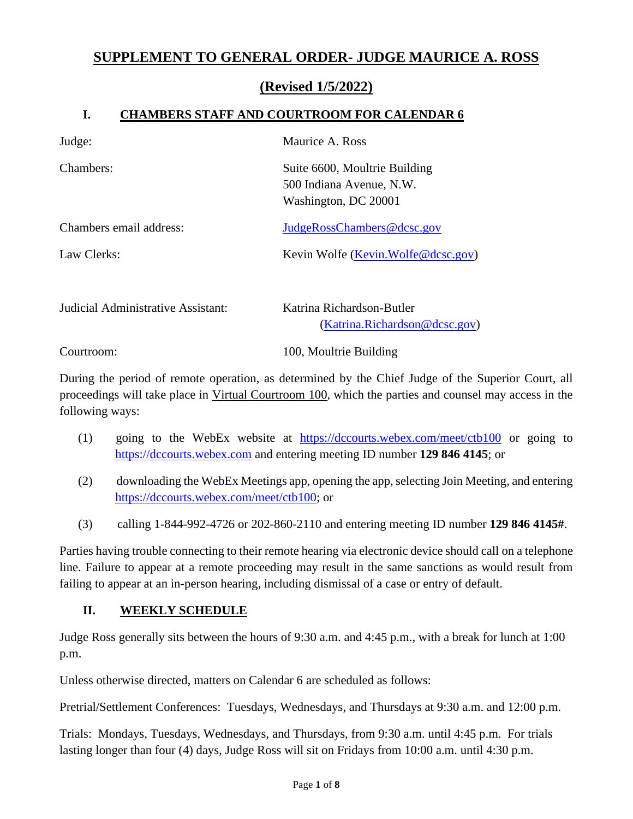# **SUPPLEMENT TO GENERAL ORDER- JUDGE MAURICE A. ROSS**

### **(Revised 1/5/2022)**

#### **I. CHAMBERS STAFF AND COURTROOM FOR CALENDAR 6**

| Judge:                            | Maurice A. Ross                                                                   |
|-----------------------------------|-----------------------------------------------------------------------------------|
| Chambers:                         | Suite 6600, Moultrie Building<br>500 Indiana Avenue, N.W.<br>Washington, DC 20001 |
| Chambers email address:           | JudgeRossChambers@dcsc.gov                                                        |
| Law Clerks:                       | Kevin Wolfe (Kevin.Wolfe@dcsc.gov)                                                |
| Indicial Administrative Assistant | Katrina Richardson-Butler                                                         |

| Judicial Administrative Assistant: | Katrina Richardson-Butler     |
|------------------------------------|-------------------------------|
|                                    | (Katrina.Richardson@dcsc.gov) |
| Courtroom:                         | 100, Moultrie Building        |

During the period of remote operation, as determined by the Chief Judge of the Superior Court, all proceedings will take place in Virtual Courtroom 100, which the parties and counsel may access in the following ways:

- (1) going to the WebEx website at <https://dccourts.webex.com/meet/ctb100> or going to [https://dccourts.webex.com](https://dccourts.webex.com/) and entering meeting ID number **129 846 4145**; or
- (2) downloading the WebEx Meetings app, opening the app, selecting Join Meeting, and entering [https://dccourts.webex.com/meet/ctb100;](https://dccourts.webex.com/meet/ctb100) or
- (3) calling 1-844-992-4726 or 202-860-2110 and entering meeting ID number **129 846 4145#**.

Parties having trouble connecting to their remote hearing via electronic device should call on a telephone line. Failure to appear at a remote proceeding may result in the same sanctions as would result from failing to appear at an in-person hearing, including dismissal of a case or entry of default.

#### **II. WEEKLY SCHEDULE**

Judge Ross generally sits between the hours of 9:30 a.m. and 4:45 p.m., with a break for lunch at 1:00 p.m.

Unless otherwise directed, matters on Calendar 6 are scheduled as follows:

Pretrial/Settlement Conferences: Tuesdays, Wednesdays, and Thursdays at 9:30 a.m. and 12:00 p.m.

Trials: Mondays, Tuesdays, Wednesdays, and Thursdays, from 9:30 a.m. until 4:45 p.m. For trials lasting longer than four (4) days, Judge Ross will sit on Fridays from 10:00 a.m. until 4:30 p.m.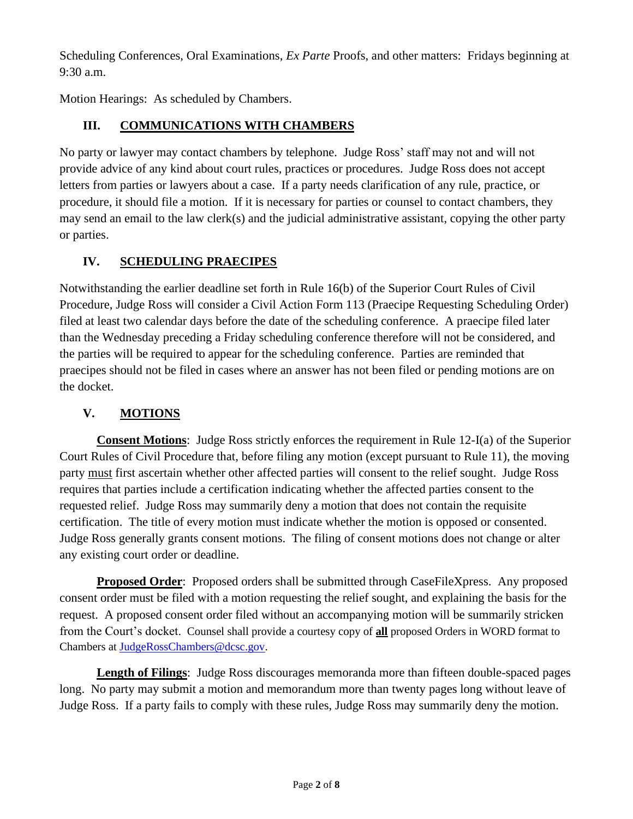Scheduling Conferences, Oral Examinations, *Ex Parte* Proofs, and other matters: Fridays beginning at 9:30 a.m.

Motion Hearings: As scheduled by Chambers.

### **III. COMMUNICATIONS WITH CHAMBERS**

No party or lawyer may contact chambers by telephone. Judge Ross' staff may not and will not provide advice of any kind about court rules, practices or procedures. Judge Ross does not accept letters from parties or lawyers about a case. If a party needs clarification of any rule, practice, or procedure, it should file a motion. If it is necessary for parties or counsel to contact chambers, they may send an email to the law clerk(s) and the judicial administrative assistant, copying the other party or parties.

### **IV. SCHEDULING PRAECIPES**

Notwithstanding the earlier deadline set forth in Rule 16(b) of the Superior Court Rules of Civil Procedure, Judge Ross will consider a Civil Action Form 113 (Praecipe Requesting Scheduling Order) filed at least two calendar days before the date of the scheduling conference. A praecipe filed later than the Wednesday preceding a Friday scheduling conference therefore will not be considered, and the parties will be required to appear for the scheduling conference. Parties are reminded that praecipes should not be filed in cases where an answer has not been filed or pending motions are on the docket.

## **V. MOTIONS**

**Consent Motions**: Judge Ross strictly enforces the requirement in Rule 12-I(a) of the Superior Court Rules of Civil Procedure that, before filing any motion (except pursuant to Rule 11), the moving party must first ascertain whether other affected parties will consent to the relief sought. Judge Ross requires that parties include a certification indicating whether the affected parties consent to the requested relief. Judge Ross may summarily deny a motion that does not contain the requisite certification. The title of every motion must indicate whether the motion is opposed or consented. Judge Ross generally grants consent motions. The filing of consent motions does not change or alter any existing court order or deadline.

**Proposed Order**: Proposed orders shall be submitted through CaseFileXpress. Any proposed consent order must be filed with a motion requesting the relief sought, and explaining the basis for the request. A proposed consent order filed without an accompanying motion will be summarily stricken from the Court's docket. Counsel shall provide a courtesy copy of **all** proposed Orders in WORD format to Chambers at [JudgeRossChambers@dcsc.gov.](mailto:JudgeRossChambers@dcsc.gov)

**Length of Filings**: Judge Ross discourages memoranda more than fifteen double-spaced pages long. No party may submit a motion and memorandum more than twenty pages long without leave of Judge Ross. If a party fails to comply with these rules, Judge Ross may summarily deny the motion.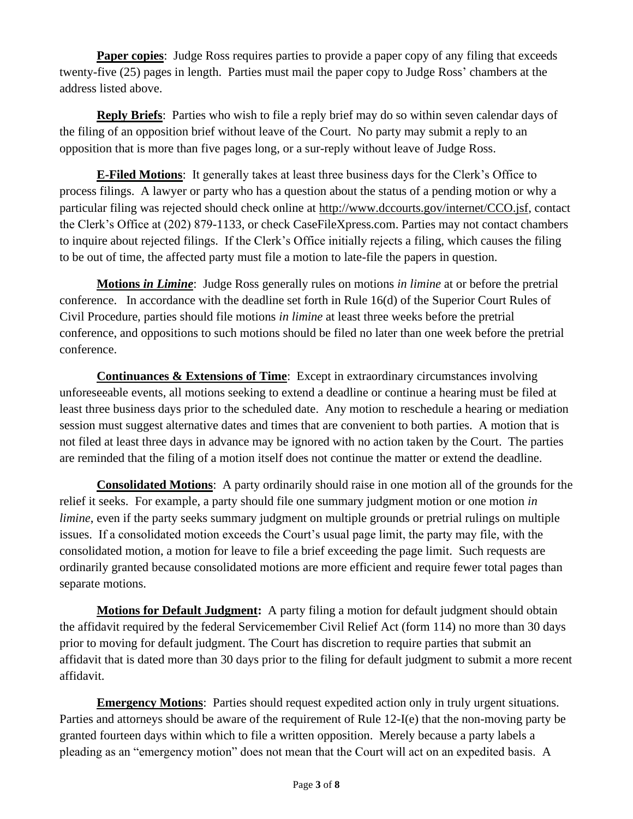**Paper copies**: Judge Ross requires parties to provide a paper copy of any filing that exceeds twenty-five (25) pages in length. Parties must mail the paper copy to Judge Ross' chambers at the address listed above.

**Reply Briefs**: Parties who wish to file a reply brief may do so within seven calendar days of the filing of an opposition brief without leave of the Court. No party may submit a reply to an opposition that is more than five pages long, or a sur-reply without leave of Judge Ross.

**E-Filed Motions**: It generally takes at least three business days for the Clerk's Office to process filings. A lawyer or party who has a question about the status of a pending motion or why a particular filing was rejected should check online at [http://www.dccourts.gov/internet/CCO.jsf,](http://www.dccourts.gov/internet/CCO.jsf) contact the Clerk's Office at (202) 879-1133, or check CaseFileXpress.com. Parties may not contact chambers to inquire about rejected filings. If the Clerk's Office initially rejects a filing, which causes the filing to be out of time, the affected party must file a motion to late-file the papers in question.

**Motions** *in Limine*: Judge Ross generally rules on motions *in limine* at or before the pretrial conference. In accordance with the deadline set forth in Rule 16(d) of the Superior Court Rules of Civil Procedure, parties should file motions *in limine* at least three weeks before the pretrial conference, and oppositions to such motions should be filed no later than one week before the pretrial conference.

**Continuances & Extensions of Time**: Except in extraordinary circumstances involving unforeseeable events, all motions seeking to extend a deadline or continue a hearing must be filed at least three business days prior to the scheduled date. Any motion to reschedule a hearing or mediation session must suggest alternative dates and times that are convenient to both parties. A motion that is not filed at least three days in advance may be ignored with no action taken by the Court. The parties are reminded that the filing of a motion itself does not continue the matter or extend the deadline.

**Consolidated Motions**: A party ordinarily should raise in one motion all of the grounds for the relief it seeks. For example, a party should file one summary judgment motion or one motion *in limine*, even if the party seeks summary judgment on multiple grounds or pretrial rulings on multiple issues. If a consolidated motion exceeds the Court's usual page limit, the party may file, with the consolidated motion, a motion for leave to file a brief exceeding the page limit. Such requests are ordinarily granted because consolidated motions are more efficient and require fewer total pages than separate motions.

**Motions for Default Judgment:** A party filing a motion for default judgment should obtain the affidavit required by the federal Servicemember Civil Relief Act (form 114) no more than 30 days prior to moving for default judgment. The Court has discretion to require parties that submit an affidavit that is dated more than 30 days prior to the filing for default judgment to submit a more recent affidavit.

**Emergency Motions**: Parties should request expedited action only in truly urgent situations. Parties and attorneys should be aware of the requirement of Rule 12-I(e) that the non-moving party be granted fourteen days within which to file a written opposition. Merely because a party labels a pleading as an "emergency motion" does not mean that the Court will act on an expedited basis. A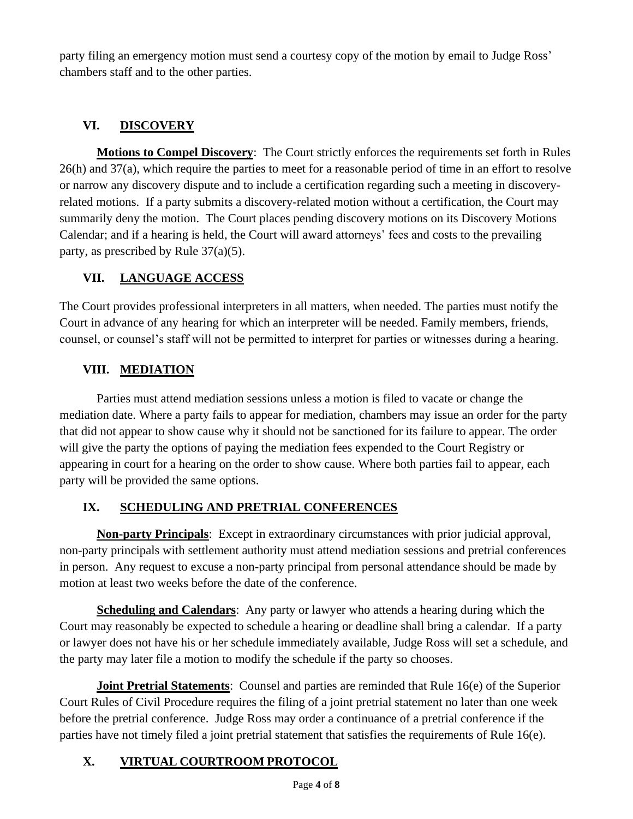party filing an emergency motion must send a courtesy copy of the motion by email to Judge Ross' chambers staff and to the other parties.

## **VI. DISCOVERY**

**Motions to Compel Discovery**: The Court strictly enforces the requirements set forth in Rules 26(h) and 37(a), which require the parties to meet for a reasonable period of time in an effort to resolve or narrow any discovery dispute and to include a certification regarding such a meeting in discoveryrelated motions. If a party submits a discovery-related motion without a certification, the Court may summarily deny the motion. The Court places pending discovery motions on its Discovery Motions Calendar; and if a hearing is held, the Court will award attorneys' fees and costs to the prevailing party, as prescribed by Rule 37(a)(5).

## **VII. LANGUAGE ACCESS**

The Court provides professional interpreters in all matters, when needed. The parties must notify the Court in advance of any hearing for which an interpreter will be needed. Family members, friends, counsel, or counsel's staff will not be permitted to interpret for parties or witnesses during a hearing.

### **VIII. MEDIATION**

Parties must attend mediation sessions unless a motion is filed to vacate or change the mediation date. Where a party fails to appear for mediation, chambers may issue an order for the party that did not appear to show cause why it should not be sanctioned for its failure to appear. The order will give the party the options of paying the mediation fees expended to the Court Registry or appearing in court for a hearing on the order to show cause. Where both parties fail to appear, each party will be provided the same options.

## **IX. SCHEDULING AND PRETRIAL CONFERENCES**

**Non-party Principals**: Except in extraordinary circumstances with prior judicial approval, non-party principals with settlement authority must attend mediation sessions and pretrial conferences in person. Any request to excuse a non-party principal from personal attendance should be made by motion at least two weeks before the date of the conference.

**Scheduling and Calendars**: Any party or lawyer who attends a hearing during which the Court may reasonably be expected to schedule a hearing or deadline shall bring a calendar. If a party or lawyer does not have his or her schedule immediately available, Judge Ross will set a schedule, and the party may later file a motion to modify the schedule if the party so chooses.

**Joint Pretrial Statements**: Counsel and parties are reminded that Rule 16(e) of the Superior Court Rules of Civil Procedure requires the filing of a joint pretrial statement no later than one week before the pretrial conference. Judge Ross may order a continuance of a pretrial conference if the parties have not timely filed a joint pretrial statement that satisfies the requirements of Rule 16(e).

## **X. VIRTUAL COURTROOM PROTOCOL**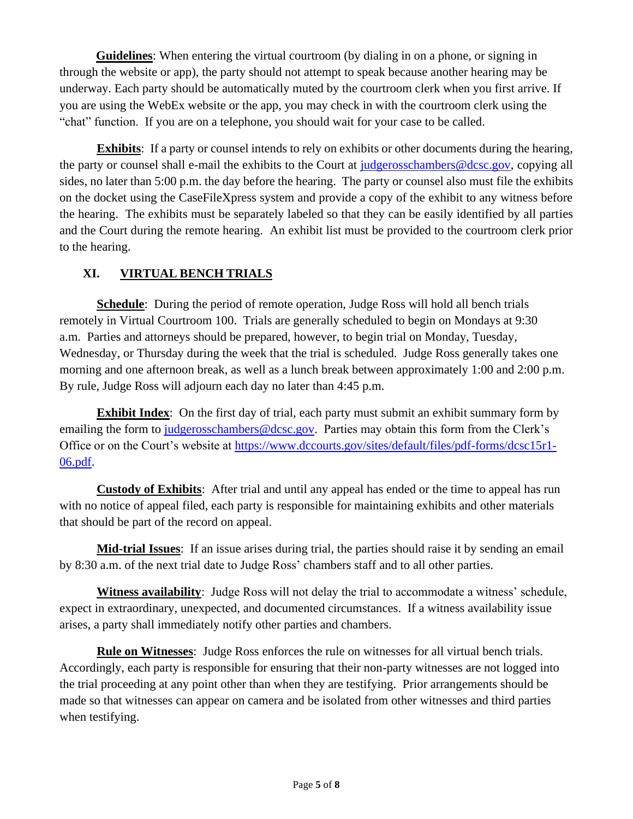**Guidelines**: When entering the virtual courtroom (by dialing in on a phone, or signing in through the website or app), the party should not attempt to speak because another hearing may be underway. Each party should be automatically muted by the courtroom clerk when you first arrive. If you are using the WebEx website or the app, you may check in with the courtroom clerk using the "chat" function. If you are on a telephone, you should wait for your case to be called.

**Exhibits**: If a party or counsel intends to rely on exhibits or other documents during the hearing, the party or counsel shall e-mail the exhibits to the Court at [judgerosschambers@dcsc.gov,](mailto:judgepanchambers@dcsc.gov) copying all sides, no later than 5:00 p.m. the day before the hearing. The party or counsel also must file the exhibits on the docket using the CaseFileXpress system and provide a copy of the exhibit to any witness before the hearing. The exhibits must be separately labeled so that they can be easily identified by all parties and the Court during the remote hearing. An exhibit list must be provided to the courtroom clerk prior to the hearing.

### **XI. VIRTUAL BENCH TRIALS**

**Schedule**: During the period of remote operation, Judge Ross will hold all bench trials remotely in Virtual Courtroom 100. Trials are generally scheduled to begin on Mondays at 9:30 a.m. Parties and attorneys should be prepared, however, to begin trial on Monday, Tuesday, Wednesday, or Thursday during the week that the trial is scheduled. Judge Ross generally takes one morning and one afternoon break, as well as a lunch break between approximately 1:00 and 2:00 p.m. By rule, Judge Ross will adjourn each day no later than 4:45 p.m.

**Exhibit Index**: On the first day of trial, each party must submit an exhibit summary form by emailing the form to [judgerosschambers@dcsc.gov.](mailto:judgerosschambers@dcsc.gov) Parties may obtain this form from the Clerk's Office or on the Court's website at [https://www.dccourts.gov/sites/default/files/pdf-forms/dcsc15r1-](https://www.dccourts.gov/sites/default/files/pdf-forms/dcsc15r1-06.pdf) [06.pdf.](https://www.dccourts.gov/sites/default/files/pdf-forms/dcsc15r1-06.pdf)

**Custody of Exhibits**: After trial and until any appeal has ended or the time to appeal has run with no notice of appeal filed, each party is responsible for maintaining exhibits and other materials that should be part of the record on appeal.

 **Mid-trial Issues**: If an issue arises during trial, the parties should raise it by sending an email by 8:30 a.m. of the next trial date to Judge Ross' chambers staff and to all other parties.

**Witness availability**: Judge Ross will not delay the trial to accommodate a witness' schedule, expect in extraordinary, unexpected, and documented circumstances. If a witness availability issue arises, a party shall immediately notify other parties and chambers.

**Rule on Witnesses**: Judge Ross enforces the rule on witnesses for all virtual bench trials. Accordingly, each party is responsible for ensuring that their non-party witnesses are not logged into the trial proceeding at any point other than when they are testifying. Prior arrangements should be made so that witnesses can appear on camera and be isolated from other witnesses and third parties when testifying.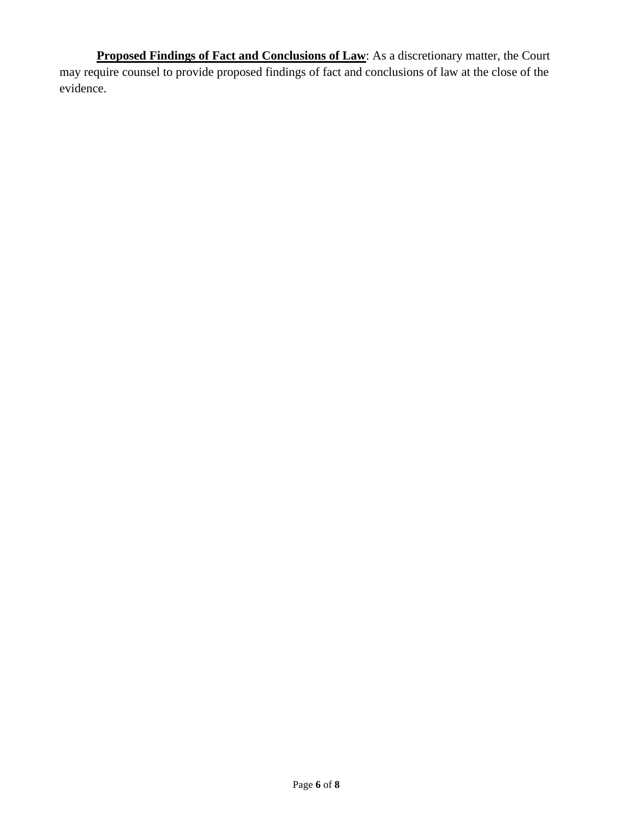**Proposed Findings of Fact and Conclusions of Law:** As a discretionary matter, the Court may require counsel to provide proposed findings of fact and conclusions of law at the close of the evidence.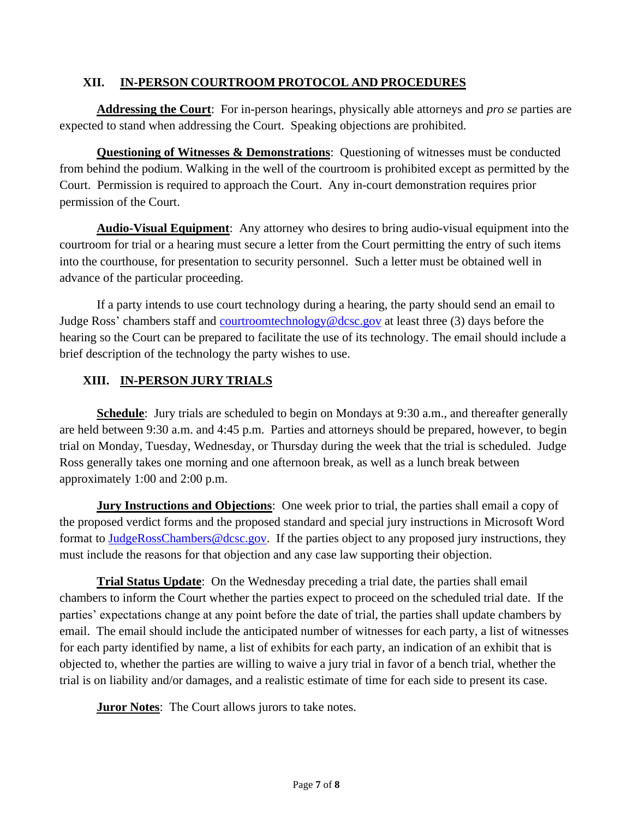#### **XII. IN-PERSON COURTROOM PROTOCOL AND PROCEDURES**

**Addressing the Court**: For in-person hearings, physically able attorneys and *pro se* parties are expected to stand when addressing the Court. Speaking objections are prohibited.

**Questioning of Witnesses & Demonstrations:** Questioning of witnesses must be conducted from behind the podium. Walking in the well of the courtroom is prohibited except as permitted by the Court. Permission is required to approach the Court. Any in-court demonstration requires prior permission of the Court.

**Audio-Visual Equipment**: Any attorney who desires to bring audio-visual equipment into the courtroom for trial or a hearing must secure a letter from the Court permitting the entry of such items into the courthouse, for presentation to security personnel. Such a letter must be obtained well in advance of the particular proceeding.

If a party intends to use court technology during a hearing, the party should send an email to Judge Ross' chambers staff and [courtroomtechnology@dcsc.gov](mailto:courtroomtechnology@dcsc.gov) at least three (3) days before the hearing so the Court can be prepared to facilitate the use of its technology. The email should include a brief description of the technology the party wishes to use.

#### **XIII. IN-PERSON JURY TRIALS**

**Schedule**: Jury trials are scheduled to begin on Mondays at 9:30 a.m., and thereafter generally are held between 9:30 a.m. and 4:45 p.m. Parties and attorneys should be prepared, however, to begin trial on Monday, Tuesday, Wednesday, or Thursday during the week that the trial is scheduled. Judge Ross generally takes one morning and one afternoon break, as well as a lunch break between approximately 1:00 and 2:00 p.m.

**Jury Instructions and Objections**: One week prior to trial, the parties shall email a copy of the proposed verdict forms and the proposed standard and special jury instructions in Microsoft Word format to [JudgeRossChambers@dcsc.gov.](mailto:JudgeRossChambers@dcsc.gov) If the parties object to any proposed jury instructions, they must include the reasons for that objection and any case law supporting their objection.

**Trial Status Update**: On the Wednesday preceding a trial date, the parties shall email chambers to inform the Court whether the parties expect to proceed on the scheduled trial date. If the parties' expectations change at any point before the date of trial, the parties shall update chambers by email. The email should include the anticipated number of witnesses for each party, a list of witnesses for each party identified by name, a list of exhibits for each party, an indication of an exhibit that is objected to, whether the parties are willing to waive a jury trial in favor of a bench trial, whether the trial is on liability and/or damages, and a realistic estimate of time for each side to present its case.

**Juror Notes**: The Court allows jurors to take notes.